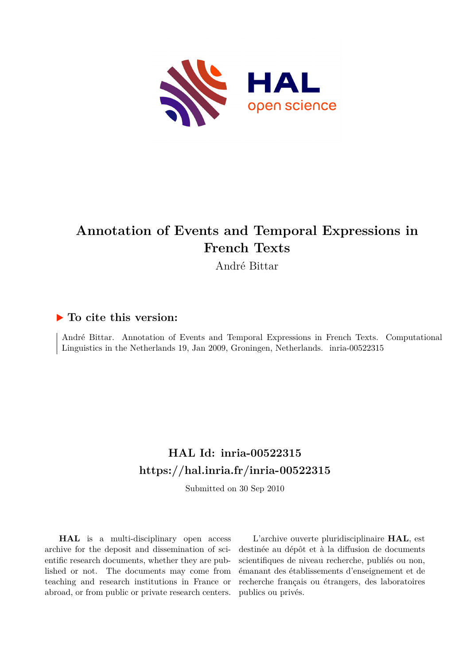

# **Annotation of Events and Temporal Expressions in French Texts**

André Bittar

### **To cite this version:**

André Bittar. Annotation of Events and Temporal Expressions in French Texts. Computational Linguistics in the Netherlands 19, Jan 2009, Groningen, Netherlands. inria-00522315

## **HAL Id: inria-00522315 <https://hal.inria.fr/inria-00522315>**

Submitted on 30 Sep 2010

**HAL** is a multi-disciplinary open access archive for the deposit and dissemination of scientific research documents, whether they are published or not. The documents may come from teaching and research institutions in France or abroad, or from public or private research centers.

L'archive ouverte pluridisciplinaire **HAL**, est destinée au dépôt et à la diffusion de documents scientifiques de niveau recherche, publiés ou non, émanant des établissements d'enseignement et de recherche français ou étrangers, des laboratoires publics ou privés.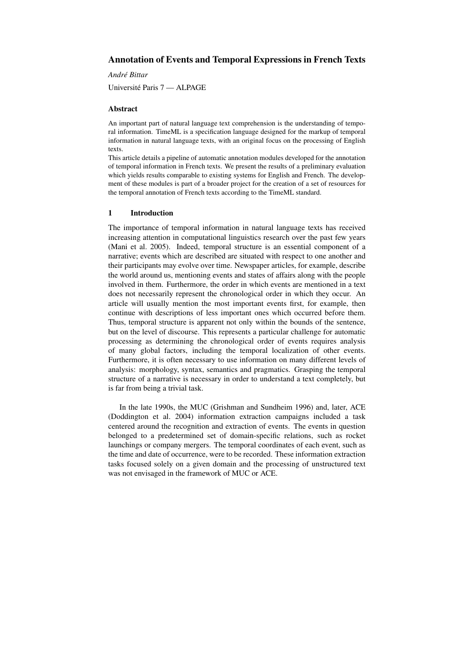#### Annotation of Events and Temporal Expressions in French Texts

*Andre Bittar ´*

Universite Paris 7 — ALPAGE ´

#### Abstract

An important part of natural language text comprehension is the understanding of temporal information. TimeML is a specification language designed for the markup of temporal information in natural language texts, with an original focus on the processing of English texts.

This article details a pipeline of automatic annotation modules developed for the annotation of temporal information in French texts. We present the results of a preliminary evaluation which yields results comparable to existing systems for English and French. The development of these modules is part of a broader project for the creation of a set of resources for the temporal annotation of French texts according to the TimeML standard.

#### 1 Introduction

The importance of temporal information in natural language texts has received increasing attention in computational linguistics research over the past few years (Mani et al. 2005). Indeed, temporal structure is an essential component of a narrative; events which are described are situated with respect to one another and their participants may evolve over time. Newspaper articles, for example, describe the world around us, mentioning events and states of affairs along with the people involved in them. Furthermore, the order in which events are mentioned in a text does not necessarily represent the chronological order in which they occur. An article will usually mention the most important events first, for example, then continue with descriptions of less important ones which occurred before them. Thus, temporal structure is apparent not only within the bounds of the sentence, but on the level of discourse. This represents a particular challenge for automatic processing as determining the chronological order of events requires analysis of many global factors, including the temporal localization of other events. Furthermore, it is often necessary to use information on many different levels of analysis: morphology, syntax, semantics and pragmatics. Grasping the temporal structure of a narrative is necessary in order to understand a text completely, but is far from being a trivial task.

In the late 1990s, the MUC (Grishman and Sundheim 1996) and, later, ACE (Doddington et al. 2004) information extraction campaigns included a task centered around the recognition and extraction of events. The events in question belonged to a predetermined set of domain-specific relations, such as rocket launchings or company mergers. The temporal coordinates of each event, such as the time and date of occurrence, were to be recorded. These information extraction tasks focused solely on a given domain and the processing of unstructured text was not envisaged in the framework of MUC or ACE.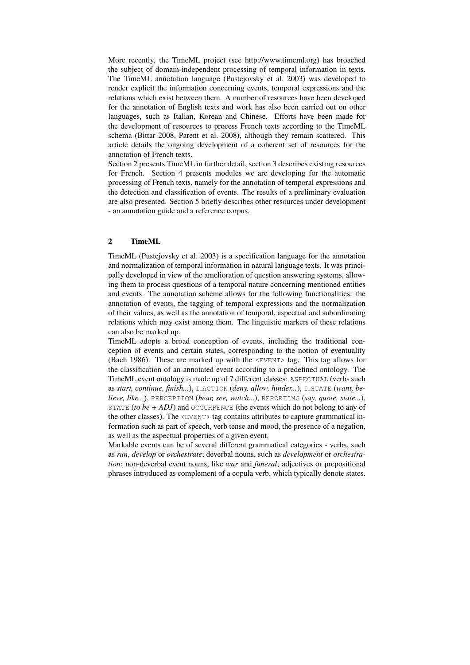More recently, the TimeML project (see http://www.timeml.org) has broached the subject of domain-independent processing of temporal information in texts. The TimeML annotation language (Pustejovsky et al. 2003) was developed to render explicit the information concerning events, temporal expressions and the relations which exist between them. A number of resources have been developed for the annotation of English texts and work has also been carried out on other languages, such as Italian, Korean and Chinese. Efforts have been made for the development of resources to process French texts according to the TimeML schema (Bittar 2008, Parent et al. 2008), although they remain scattered. This article details the ongoing development of a coherent set of resources for the annotation of French texts.

Section 2 presents TimeML in further detail, section 3 describes existing resources for French. Section 4 presents modules we are developing for the automatic processing of French texts, namely for the annotation of temporal expressions and the detection and classification of events. The results of a preliminary evaluation are also presented. Section 5 briefly describes other resources under development - an annotation guide and a reference corpus.

#### 2 TimeML

TimeML (Pustejovsky et al. 2003) is a specification language for the annotation and normalization of temporal information in natural language texts. It was principally developed in view of the amelioration of question answering systems, allowing them to process questions of a temporal nature concerning mentioned entities and events. The annotation scheme allows for the following functionalities: the annotation of events, the tagging of temporal expressions and the normalization of their values, as well as the annotation of temporal, aspectual and subordinating relations which may exist among them. The linguistic markers of these relations can also be marked up.

TimeML adopts a broad conception of events, including the traditional conception of events and certain states, corresponding to the notion of eventuality (Bach 1986). These are marked up with the  $\leq$ EVENT $>$  tag. This tag allows for the classification of an annotated event according to a predefined ontology. The TimeML event ontology is made up of 7 different classes: ASPECTUAL (verbs such as *start, continue, finish...*), LACTION (*deny, allow, hinder...*), LSTATE (*want, believe, like...*), PERCEPTION (*hear, see, watch...*), REPORTING (*say, quote, state...*), STATE (*to be*  $+$  *ADJ*) and OCCURRENCE (the events which do not belong to any of the other classes). The  $\leq$ EVENT> tag contains attributes to capture grammatical information such as part of speech, verb tense and mood, the presence of a negation, as well as the aspectual properties of a given event.

Markable events can be of several different grammatical categories - verbs, such as *run*, *develop* or *orchestrate*; deverbal nouns, such as *development* or *orchestration*; non-deverbal event nouns, like *war* and *funeral*; adjectives or prepositional phrases introduced as complement of a copula verb, which typically denote states.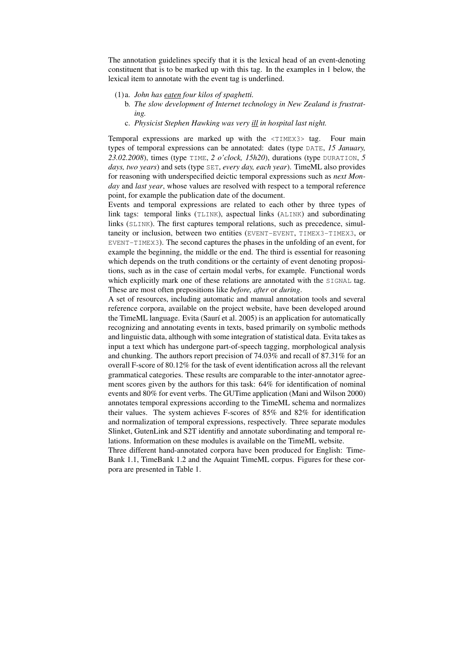The annotation guidelines specify that it is the lexical head of an event-denoting constituent that is to be marked up with this tag. In the examples in 1 below, the lexical item to annotate with the event tag is underlined.

- (1)a. *John has eaten four kilos of spaghetti.*
	- b. *The slow development of Internet technology in New Zealand is frustrating.*
	- c. *Physicist Stephen Hawking was very ill in hospital last night.*

Temporal expressions are marked up with the <TIMEX3> tag. Four main types of temporal expressions can be annotated: dates (type DATE, *15 January, 23.02.2008*), times (type TIME, *2 o'clock, 15h20*), durations (type DURATION, *5 days, two years*) and sets (type SET, *every day, each year*). TimeML also provides for reasoning with underspecified deictic temporal expressions such as *next Monday* and *last year*, whose values are resolved with respect to a temporal reference point, for example the publication date of the document.

Events and temporal expressions are related to each other by three types of link tags: temporal links (TLINK), aspectual links (ALINK) and subordinating links (SLINK). The first captures temporal relations, such as precedence, simultaneity or inclusion, between two entities (EVENT-EVENT, TIMEX3-TIMEX3, or EVENT-TIMEX3). The second captures the phases in the unfolding of an event, for example the beginning, the middle or the end. The third is essential for reasoning which depends on the truth conditions or the certainty of event denoting propositions, such as in the case of certain modal verbs, for example. Functional words which explicitly mark one of these relations are annotated with the SIGNAL tag. These are most often prepositions like *before, after* or *during*.

A set of resources, including automatic and manual annotation tools and several reference corpora, available on the project website, have been developed around the TimeML language. Evita (Saurí et al. 2005) is an application for automatically recognizing and annotating events in texts, based primarily on symbolic methods and linguistic data, although with some integration of statistical data. Evita takes as input a text which has undergone part-of-speech tagging, morphological analysis and chunking. The authors report precision of 74.03% and recall of 87.31% for an overall F-score of 80.12% for the task of event identification across all the relevant grammatical categories. These results are comparable to the inter-annotator agreement scores given by the authors for this task: 64% for identification of nominal events and 80% for event verbs. The GUTime application (Mani and Wilson 2000) annotates temporal expressions according to the TimeML schema and normalizes their values. The system achieves F-scores of 85% and 82% for identification and normalization of temporal expressions, respectively. Three separate modules Slinket, GutenLink and S2T identifiy and annotate subordinating and temporal relations. Information on these modules is available on the TimeML website.

Three different hand-annotated corpora have been produced for English: Time-Bank 1.1, TimeBank 1.2 and the Aquaint TimeML corpus. Figures for these corpora are presented in Table 1.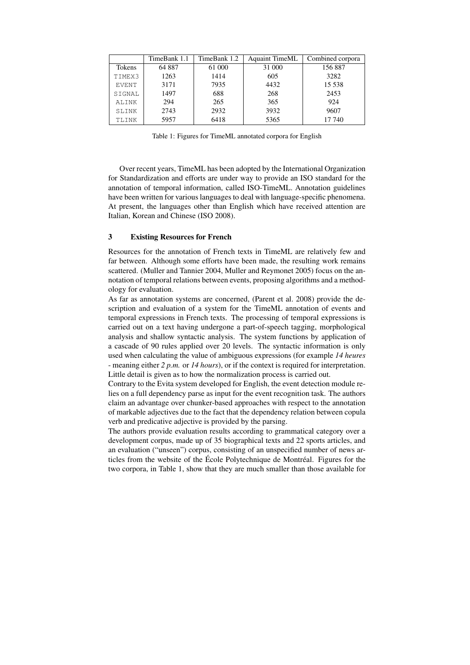|              | TimeBank 1.1 | TimeBank 1.2 | <b>Aquaint TimeML</b> | Combined corpora |  |
|--------------|--------------|--------------|-----------------------|------------------|--|
| Tokens       | 64 887       | 61 000       | 31 000                | 156887           |  |
| TIMEX3       | 1263         | 1414         | 605                   | 3282             |  |
| <b>EVENT</b> | 3171         | 7935         | 4432                  | 15 5 38          |  |
| SIGNAL       | 1497         | 688          | 268                   | 2453             |  |
| ALINK        | 294          | 265          | 365                   | 924              |  |
| SLINK        | 2743         | 2932         | 3932                  | 9607             |  |
| TLINK        | 5957         | 6418         | 5365                  | 17 740           |  |

Table 1: Figures for TimeML annotated corpora for English

Over recent years, TimeML has been adopted by the International Organization for Standardization and efforts are under way to provide an ISO standard for the annotation of temporal information, called ISO-TimeML. Annotation guidelines have been written for various languages to deal with language-specific phenomena. At present, the languages other than English which have received attention are Italian, Korean and Chinese (ISO 2008).

#### 3 Existing Resources for French

Resources for the annotation of French texts in TimeML are relatively few and far between. Although some efforts have been made, the resulting work remains scattered. (Muller and Tannier 2004, Muller and Reymonet 2005) focus on the annotation of temporal relations between events, proposing algorithms and a methodology for evaluation.

As far as annotation systems are concerned, (Parent et al. 2008) provide the description and evaluation of a system for the TimeML annotation of events and temporal expressions in French texts. The processing of temporal expressions is carried out on a text having undergone a part-of-speech tagging, morphological analysis and shallow syntactic analysis. The system functions by application of a cascade of 90 rules applied over 20 levels. The syntactic information is only used when calculating the value of ambiguous expressions (for example *14 heures* - meaning either *2 p.m.* or *14 hours*), or if the context is required for interpretation. Little detail is given as to how the normalization process is carried out.

Contrary to the Evita system developed for English, the event detection module relies on a full dependency parse as input for the event recognition task. The authors claim an advantage over chunker-based approaches with respect to the annotation of markable adjectives due to the fact that the dependency relation between copula verb and predicative adjective is provided by the parsing.

The authors provide evaluation results according to grammatical category over a development corpus, made up of 35 biographical texts and 22 sports articles, and an evaluation ("unseen") corpus, consisting of an unspecified number of news articles from the website of the École Polytechnique de Montréal. Figures for the two corpora, in Table 1, show that they are much smaller than those available for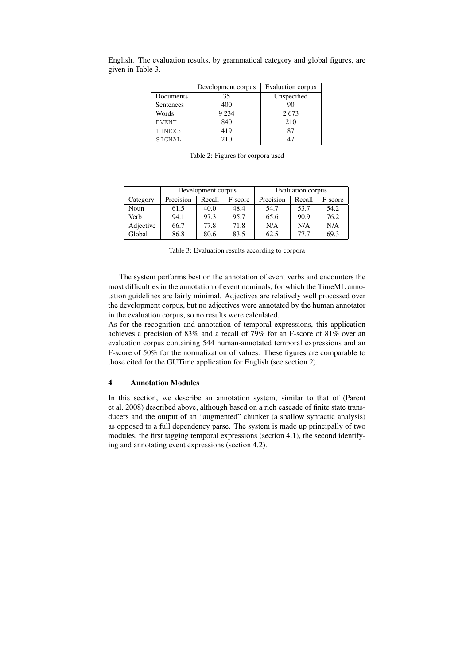|              | Development corpus | Evaluation corpus |  |
|--------------|--------------------|-------------------|--|
| Documents    | 35                 | Unspecified       |  |
| Sentences    | 400                | 90                |  |
| Words        | 9 2 3 4            | 2673              |  |
| <b>EVENT</b> | 840                | 210               |  |
| TIMEX3       | 419                | 87                |  |
| SIGNAL       | 210                |                   |  |

English. The evaluation results, by grammatical category and global figures, are given in Table 3.

Table 2: Figures for corpora used

|           | Development corpus |        |         | Evaluation corpus |        |         |
|-----------|--------------------|--------|---------|-------------------|--------|---------|
| Category  | Precision          | Recall | F-score | Precision         | Recall | F-score |
| Noun      | 61.5               | 40.0   | 48.4    | 54.7              | 53.7   | 54.2    |
| Verb      | 94.1               | 97.3   | 95.7    | 65.6              | 90.9   | 76.2    |
| Adjective | 66.7               | 77.8   | 71.8    | N/A               | N/A    | N/A     |
| Global    | 86.8               | 80.6   | 83.5    | 62.5              | 77.7   | 69.3    |

Table 3: Evaluation results according to corpora

The system performs best on the annotation of event verbs and encounters the most difficulties in the annotation of event nominals, for which the TimeML annotation guidelines are fairly minimal. Adjectives are relatively well processed over the development corpus, but no adjectives were annotated by the human annotator in the evaluation corpus, so no results were calculated.

As for the recognition and annotation of temporal expressions, this application achieves a precision of 83% and a recall of 79% for an F-score of 81% over an evaluation corpus containing 544 human-annotated temporal expressions and an F-score of 50% for the normalization of values. These figures are comparable to those cited for the GUTime application for English (see section 2).

#### 4 Annotation Modules

In this section, we describe an annotation system, similar to that of (Parent et al. 2008) described above, although based on a rich cascade of finite state transducers and the output of an "augmented" chunker (a shallow syntactic analysis) as opposed to a full dependency parse. The system is made up principally of two modules, the first tagging temporal expressions (section 4.1), the second identifying and annotating event expressions (section 4.2).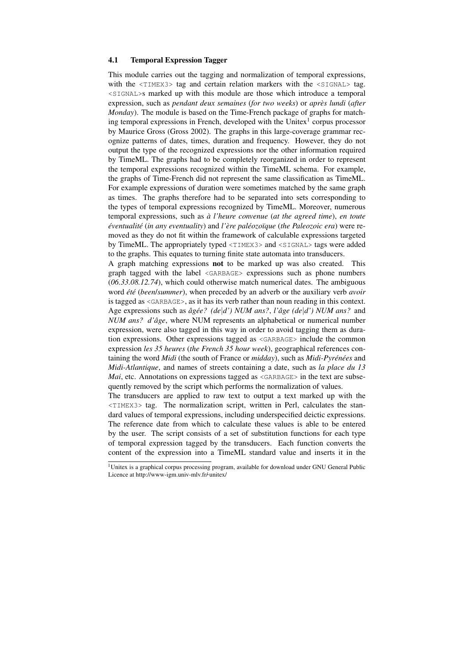#### 4.1 Temporal Expression Tagger

This module carries out the tagging and normalization of temporal expressions, with the  $\langle TIMEX3\rangle$  tag and certain relation markers with the  $\langle SIGNAL\rangle$  tag. <SIGNAL>s marked up with this module are those which introduce a temporal expression, such as *pendant deux semaines* (*for two weeks*) or *apres lundi `* (*after Monday*). The module is based on the Time-French package of graphs for matching temporal expressions in French, developed with the Unitex<sup>1</sup> corpus processor by Maurice Gross (Gross 2002). The graphs in this large-coverage grammar recognize patterns of dates, times, duration and frequency. However, they do not output the type of the recognized expressions nor the other information required by TimeML. The graphs had to be completely reorganized in order to represent the temporal expressions recognized within the TimeML schema. For example, the graphs of Time-French did not represent the same classification as TimeML. For example expressions of duration were sometimes matched by the same graph as times. The graphs therefore had to be separated into sets corresponding to the types of temporal expressions recognized by TimeML. Moreover, numerous temporal expressions, such as *a l'heure convenue `* (*at the agreed time*), *en toute eventualit ´ e´* (*in any eventuality*) and *l'ere pal ` eozo ´ ¨ıque* (*the Paleozoic era*) were removed as they do not fit within the framework of calculable expressions targeted by TimeML. The appropriately typed <TIMEX3> and <SIGNAL> tags were added to the graphs. This equates to turning finite state automata into transducers.

A graph matching expressions not to be marked up was also created. This graph tagged with the label <GARBAGE> expressions such as phone numbers (*06.33.08.12.74*), which could otherwise match numerical dates. The ambiguous word *été* (*been/summer*), when preceded by an adverb or the auxiliary verb *avoir* is tagged as <GARBAGE>, as it has its verb rather than noun reading in this context. Age expressions such as  $\partial g \neq e$ ? ( $de | d'$ ) NUM ans?, *l'* $\partial g e$  ( $de | d'$ ) NUM ans? and *NUM ans? d'âge*, where NUM represents an alphabetical or numerical number expression, were also tagged in this way in order to avoid tagging them as duration expressions. Other expressions tagged as <GARBAGE> include the common expression *les 35 heures* (*the French 35 hour week*), geographical references containing the word *Midi* (the south of France or *midday*), such as *Midi-Pyrénées* and *Midi-Atlantique*, and names of streets containing a date, such as *la place du 13 Mai*, etc. Annotations on expressions tagged as  $\langle GARBAGF \rangle$  in the text are subsequently removed by the script which performs the normalization of values.

The transducers are applied to raw text to output a text marked up with the <TIMEX3> tag. The normalization script, written in Perl, calculates the standard values of temporal expressions, including underspecified deictic expressions. The reference date from which to calculate these values is able to be entered by the user. The script consists of a set of substitution functions for each type of temporal expression tagged by the transducers. Each function converts the content of the expression into a TimeML standard value and inserts it in the

<sup>&</sup>lt;sup>1</sup>Unitex is a graphical corpus processing program, available for download under GNU General Public Licence at http://www-igm.univ-mlv.fr/-unitex/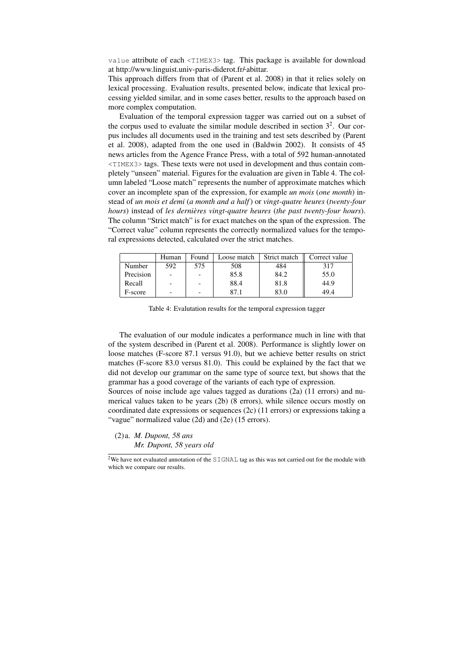value attribute of each <TIMEX3> tag. This package is available for download at http://www.linguist.univ-paris-diderot.fr/abittar.

This approach differs from that of (Parent et al. 2008) in that it relies solely on lexical processing. Evaluation results, presented below, indicate that lexical processing yielded similar, and in some cases better, results to the approach based on more complex computation.

Evaluation of the temporal expression tagger was carried out on a subset of the corpus used to evaluate the similar module described in section  $3<sup>2</sup>$ . Our corpus includes all documents used in the training and test sets described by (Parent et al. 2008), adapted from the one used in (Baldwin 2002). It consists of 45 news articles from the Agence France Press, with a total of 592 human-annotated <TIMEX3> tags. These texts were not used in development and thus contain completely "unseen" material. Figures for the evaluation are given in Table 4. The column labeled "Loose match" represents the number of approximate matches which cover an incomplete span of the expression, for example *un mois* (*one month*) instead of *un mois et demi* (*a month and a half*) or *vingt-quatre heures* (*twenty-four hours*) instead of *les dernieres vingt-quatre heures `* (*the past twenty-four hours*). The column "Strict match" is for exact matches on the span of the expression. The "Correct value" column represents the correctly normalized values for the temporal expressions detected, calculated over the strict matches.

|           | Human | Found | Loose match | Strict match | Correct value |
|-----------|-------|-------|-------------|--------------|---------------|
| Number    | 592   | 575   | 508         | 484          | 317           |
| Precision |       |       | 85.8        | 84.2         | 55.0          |
| Recall    |       |       | 88.4        | 81.8         | 44.9          |
| F-score   |       |       | 87.         | 83.0         | 49.4          |

Table 4: Evalutation results for the temporal expression tagger

The evaluation of our module indicates a performance much in line with that of the system described in (Parent et al. 2008). Performance is slightly lower on loose matches (F-score 87.1 versus 91.0), but we achieve better results on strict matches (F-score 83.0 versus 81.0). This could be explained by the fact that we did not develop our grammar on the same type of source text, but shows that the grammar has a good coverage of the variants of each type of expression.

Sources of noise include age values tagged as durations (2a) (11 errors) and numerical values taken to be years (2b) (8 errors), while silence occurs mostly on coordinated date expressions or sequences (2c) (11 errors) or expressions taking a "vague" normalized value (2d) and (2e) (15 errors).

(2)a. *M. Dupont, 58 ans*

*Mr. Dupont, 58 years old*

<sup>&</sup>lt;sup>2</sup>We have not evaluated annotation of the SIGNAL tag as this was not carried out for the module with which we compare our results.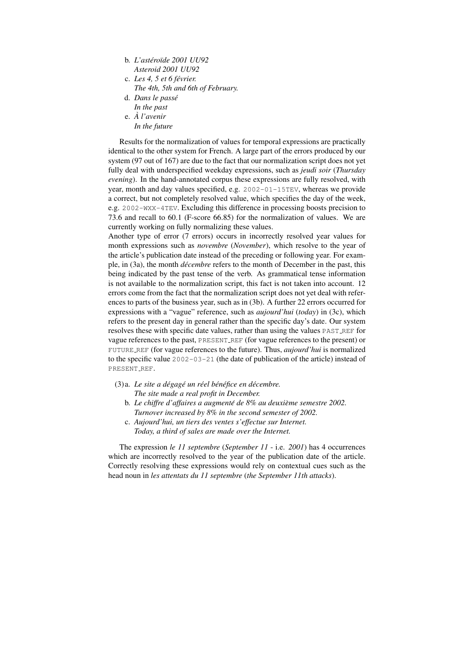- b. *L'astero ´ ¨ıde 2001 UU92 Asteroid 2001 UU92*
- c. *Les 4, 5 et 6 fevrier. ´ The 4th, 5th and 6th of February.*
- d. *Dans le passe´ In the past*
- e. *A l'avenir ` In the future*

Results for the normalization of values for temporal expressions are practically identical to the other system for French. A large part of the errors produced by our system (97 out of 167) are due to the fact that our normalization script does not yet fully deal with underspecified weekday expressions, such as *jeudi soir* (*Thursday evening*). In the hand-annotated corpus these expressions are fully resolved, with year, month and day values specified, e.g. 2002-01-15TEV, whereas we provide a correct, but not completely resolved value, which specifies the day of the week, e.g. 2002-WXX-4TEV. Excluding this difference in processing boosts precision to 73.6 and recall to 60.1 (F-score 66.85) for the normalization of values. We are currently working on fully normalizing these values.

Another type of error (7 errors) occurs in incorrectly resolved year values for month expressions such as *novembre* (*November*), which resolve to the year of the article's publication date instead of the preceding or following year. For example, in (3a), the month *décembre* refers to the month of December in the past, this being indicated by the past tense of the verb. As grammatical tense information is not available to the normalization script, this fact is not taken into account. 12 errors come from the fact that the normalization script does not yet deal with references to parts of the business year, such as in (3b). A further 22 errors occurred for expressions with a "vague" reference, such as *aujourd'hui* (*today*) in (3c), which refers to the present day in general rather than the specific day's date. Our system resolves these with specific date values, rather than using the values PAST REF for vague references to the past, PRESENT REF (for vague references to the present) or FUTURE REF (for vague references to the future). Thus, *aujourd'hui* is normalized to the specific value 2002-03-21 (the date of publication of the article) instead of PRESENT\_REF.

(3)a. *Le site a degag ´ e un r ´ eel b ´ en´ efice en d ´ ecembre. ´ The site made a real profit in December.*

- b. *Le chiffre d'affaires a augmente de 8% au deuxi ´ eme semestre 2002. ` Turnover increased by 8% in the second semester of 2002.*
- c. *Aujourd'hui, un tiers des ventes s'effectue sur Internet. Today, a third of sales are made over the Internet.*

The expression *le 11 septembre* (*September 11* - i.e. *2001*) has 4 occurrences which are incorrectly resolved to the year of the publication date of the article. Correctly resolving these expressions would rely on contextual cues such as the head noun in *les attentats du 11 septembre* (*the September 11th attacks*).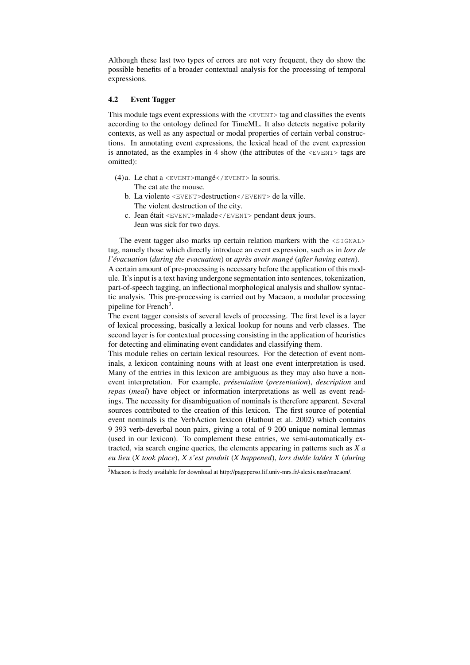Although these last two types of errors are not very frequent, they do show the possible benefits of a broader contextual analysis for the processing of temporal expressions.

#### 4.2 Event Tagger

This module tags event expressions with the  $\leq$ EVENT> tag and classifies the events according to the ontology defined for TimeML. It also detects negative polarity contexts, as well as any aspectual or modal properties of certain verbal constructions. In annotating event expressions, the lexical head of the event expression is annotated, as the examples in 4 show (the attributes of the  $\leq$ EVENT $>$  tags are omitted):

- (4)a. Le chat a  $\langle$ EVENT>mangé $\langle$ /EVENT>la souris. The cat ate the mouse.
	- b. La violente <EVENT>destruction</EVENT> de la ville. The violent destruction of the city.
	- c. Jean était <EVENT>malade</EVENT> pendant deux jours. Jean was sick for two days.

The event tagger also marks up certain relation markers with the  $\leq$ SIGNAL> tag, namely those which directly introduce an event expression, such as in *lors de l'evacuation ´* (*during the evacuation*) or *apres avoir mang ` e´* (*after having eaten*). A certain amount of pre-processing is necessary before the application of this module. It's input is a text having undergone segmentation into sentences, tokenization, part-of-speech tagging, an inflectional morphological analysis and shallow syntactic analysis. This pre-processing is carried out by Macaon, a modular processing pipeline for French<sup>3</sup>.

The event tagger consists of several levels of processing. The first level is a layer of lexical processing, basically a lexical lookup for nouns and verb classes. The second layer is for contextual processing consisting in the application of heuristics for detecting and eliminating event candidates and classifying them.

This module relies on certain lexical resources. For the detection of event nominals, a lexicon containing nouns with at least one event interpretation is used. Many of the entries in this lexicon are ambiguous as they may also have a nonevent interpretation. For example, *présentation* (*presentation*), *description* and *repas* (*meal*) have object or information interpretations as well as event readings. The necessity for disambiguation of nominals is therefore apparent. Several sources contributed to the creation of this lexicon. The first source of potential event nominals is the VerbAction lexicon (Hathout et al. 2002) which contains 9 393 verb-deverbal noun pairs, giving a total of 9 200 unique nominal lemmas (used in our lexicon). To complement these entries, we semi-automatically extracted, via search engine queries, the elements appearing in patterns such as *X a eu lieu* (*X took place*), *X s'est produit* (*X happened*), *lors du/de la/des X* (*during*

<sup>&</sup>lt;sup>3</sup>Macaon is freely available for download at http://pageperso.lif.univ-mrs.fr/alexis.nasr/macaon/.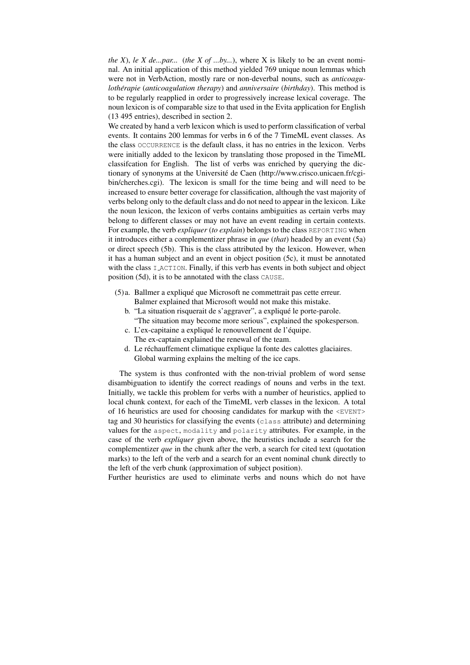*the X*), *le X de...par...* (*the X of ...by...*), where X is likely to be an event nominal. An initial application of this method yielded 769 unique noun lemmas which were not in VerbAction, mostly rare or non-deverbal nouns, such as *anticoagulothérapie (anticoagulation therapy)* and *anniversaire (birthday)*. This method is to be regularly reapplied in order to progressively increase lexical coverage. The noun lexicon is of comparable size to that used in the Evita application for English (13 495 entries), described in section 2.

We created by hand a verb lexicon which is used to perform classification of verbal events. It contains 200 lemmas for verbs in 6 of the 7 TimeML event classes. As the class OCCURRENCE is the default class, it has no entries in the lexicon. Verbs were initially added to the lexicon by translating those proposed in the TimeML classifcation for English. The list of verbs was enriched by querying the dictionary of synonyms at the Université de Caen (http://www.crisco.unicaen.fr/cgibin/cherches.cgi). The lexicon is small for the time being and will need to be increased to ensure better coverage for classification, although the vast majority of verbs belong only to the default class and do not need to appear in the lexicon. Like the noun lexicon, the lexicon of verbs contains ambiguities as certain verbs may belong to different classes or may not have an event reading in certain contexts. For example, the verb *expliquer* (*to explain*) belongs to the class REPORTING when it introduces either a complementizer phrase in *que* (*that*) headed by an event (5a) or direct speech (5b). This is the class attributed by the lexicon. However, when it has a human subject and an event in object position (5c), it must be annotated with the class I ACTION. Finally, if this verb has events in both subject and object position (5d), it is to be annotated with the class CAUSE.

- (5)a. Ballmer a explique que Microsoft ne commettrait pas cette erreur. ´ Balmer explained that Microsoft would not make this mistake.
	- b. "La situation risquerait de s'aggraver", a expliqué le porte-parole. "The situation may become more serious", explained the spokesperson.
	- c. L'ex-capitaine a expliqué le renouvellement de l'équipe. The ex-captain explained the renewal of the team.
	- d. Le réchauffement climatique explique la fonte des calottes glaciaires. Global warming explains the melting of the ice caps.

The system is thus confronted with the non-trivial problem of word sense disambiguation to identify the correct readings of nouns and verbs in the text. Initially, we tackle this problem for verbs with a number of heuristics, applied to local chunk context, for each of the TimeML verb classes in the lexicon. A total of 16 heuristics are used for choosing candidates for markup with the  $\leq$ EVENT> tag and 30 heuristics for classifying the events (class attribute) and determining values for the aspect, modality and polarity attributes. For example, in the case of the verb *expliquer* given above, the heuristics include a search for the complementizer *que* in the chunk after the verb, a search for cited text (quotation marks) to the left of the verb and a search for an event nominal chunk directly to the left of the verb chunk (approximation of subject position).

Further heuristics are used to eliminate verbs and nouns which do not have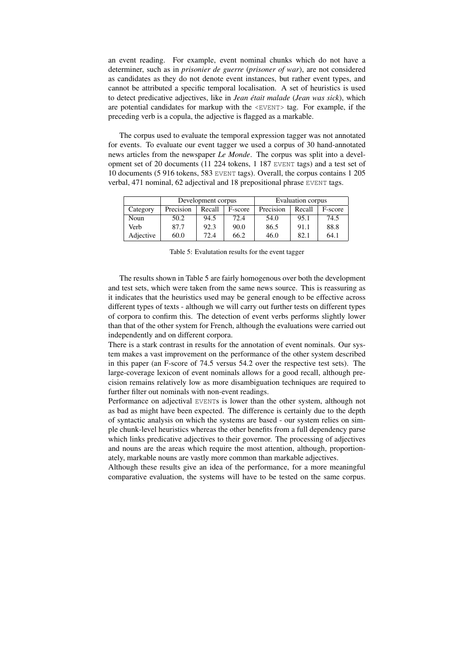an event reading. For example, event nominal chunks which do not have a determiner, such as in *prisonier de guerre* (*prisoner of war*), are not considered as candidates as they do not denote event instances, but rather event types, and cannot be attributed a specific temporal localisation. A set of heuristics is used to detect predicative adjectives, like in *Jean etait malade ´* (*Jean was sick*), which are potential candidates for markup with the <EVENT> tag. For example, if the preceding verb is a copula, the adjective is flagged as a markable.

The corpus used to evaluate the temporal expression tagger was not annotated for events. To evaluate our event tagger we used a corpus of 30 hand-annotated news articles from the newspaper *Le Monde*. The corpus was split into a development set of 20 documents (11 224 tokens, 1 187 EVENT tags) and a test set of 10 documents (5 916 tokens, 583 EVENT tags). Overall, the corpus contains 1 205 verbal, 471 nominal, 62 adjectival and 18 prepositional phrase EVENT tags.

|           | Development corpus |        |         | Evaluation corpus |        |         |
|-----------|--------------------|--------|---------|-------------------|--------|---------|
| Category  | Precision          | Recall | F-score | Precision         | Recall | F-score |
| Noun      | 50.2               | 94.5   | 72.4    | 54.0              | 95.1   | 74.5    |
| Verb      | 87.7               | 92.3   | 90.0    | 86.5              | 91.1   | 88.8    |
| Adjective | 60.0               | 72.4   | 66.2    | 46.0              | 82.1   | 64.1    |

Table 5: Evalutation results for the event tagger

The results shown in Table 5 are fairly homogenous over both the development and test sets, which were taken from the same news source. This is reassuring as it indicates that the heuristics used may be general enough to be effective across different types of texts - although we will carry out further tests on different types of corpora to confirm this. The detection of event verbs performs slightly lower than that of the other system for French, although the evaluations were carried out independently and on different corpora.

There is a stark contrast in results for the annotation of event nominals. Our system makes a vast improvement on the performance of the other system described in this paper (an F-score of 74.5 versus 54.2 over the respective test sets). The large-coverage lexicon of event nominals allows for a good recall, although precision remains relatively low as more disambiguation techniques are required to further filter out nominals with non-event readings.

Performance on adjectival EVENTs is lower than the other system, although not as bad as might have been expected. The difference is certainly due to the depth of syntactic analysis on which the systems are based - our system relies on simple chunk-level heuristics whereas the other benefits from a full dependency parse which links predicative adjectives to their governor. The processing of adjectives and nouns are the areas which require the most attention, although, proportionately, markable nouns are vastly more common than markable adjectives.

Although these results give an idea of the performance, for a more meaningful comparative evaluation, the systems will have to be tested on the same corpus.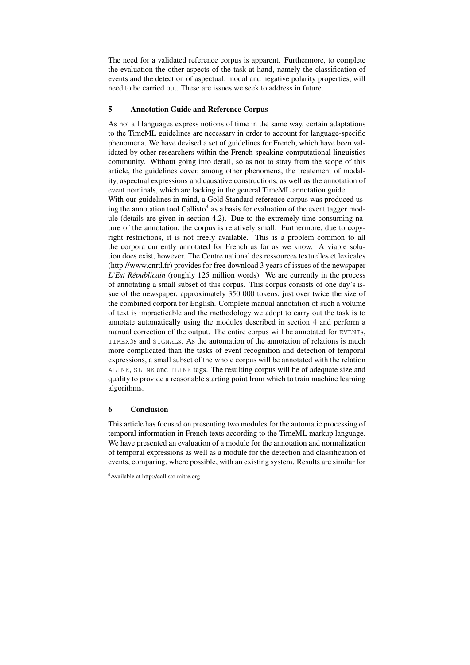The need for a validated reference corpus is apparent. Furthermore, to complete the evaluation the other aspects of the task at hand, namely the classification of events and the detection of aspectual, modal and negative polarity properties, will need to be carried out. These are issues we seek to address in future.

#### 5 Annotation Guide and Reference Corpus

As not all languages express notions of time in the same way, certain adaptations to the TimeML guidelines are necessary in order to account for language-specific phenomena. We have devised a set of guidelines for French, which have been validated by other researchers within the French-speaking computational linguistics community. Without going into detail, so as not to stray from the scope of this article, the guidelines cover, among other phenomena, the treatement of modality, aspectual expressions and causative constructions, as well as the annotation of event nominals, which are lacking in the general TimeML annotation guide.

With our guidelines in mind, a Gold Standard reference corpus was produced using the annotation tool Callisto<sup>4</sup> as a basis for evaluation of the event tagger module (details are given in section 4.2). Due to the extremely time-consuming nature of the annotation, the corpus is relatively small. Furthermore, due to copyright restrictions, it is not freely available. This is a problem common to all the corpora currently annotated for French as far as we know. A viable solution does exist, however. The Centre national des ressources textuelles et lexicales (http://www.cnrtl.fr) provides for free download 3 years of issues of the newspaper *L'Est Républicain* (roughly 125 million words). We are currently in the process of annotating a small subset of this corpus. This corpus consists of one day's issue of the newspaper, approximately 350 000 tokens, just over twice the size of the combined corpora for English. Complete manual annotation of such a volume of text is impracticable and the methodology we adopt to carry out the task is to annotate automatically using the modules described in section 4 and perform a manual correction of the output. The entire corpus will be annotated for EVENTs, TIMEX3s and SIGNALs. As the automation of the annotation of relations is much more complicated than the tasks of event recognition and detection of temporal expressions, a small subset of the whole corpus will be annotated with the relation ALINK, SLINK and TLINK tags. The resulting corpus will be of adequate size and quality to provide a reasonable starting point from which to train machine learning algorithms.

#### 6 Conclusion

This article has focused on presenting two modules for the automatic processing of temporal information in French texts according to the TimeML markup language. We have presented an evaluation of a module for the annotation and normalization of temporal expressions as well as a module for the detection and classification of events, comparing, where possible, with an existing system. Results are similar for

<sup>4</sup>Available at http://callisto.mitre.org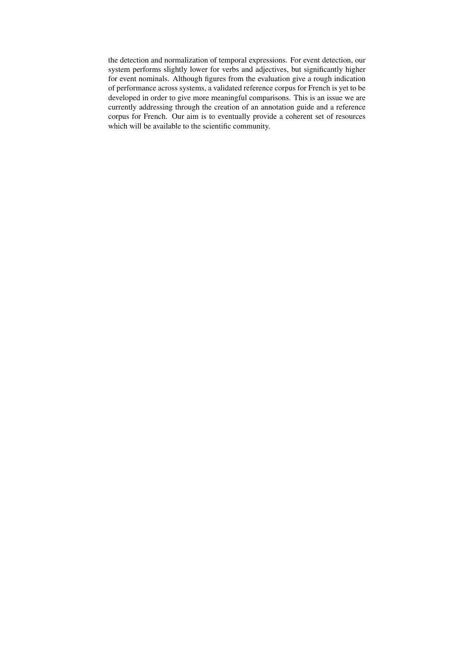the detection and normalization of temporal expressions. For event detection, our system performs slightly lower for verbs and adjectives, but significantly higher for event nominals. Although figures from the evaluation give a rough indication of performance across systems, a validated reference corpus for French is yet to be developed in order to give more meaningful comparisons. This is an issue we are currently addressing through the creation of an annotation guide and a reference corpus for French. Our aim is to eventually provide a coherent set of resources which will be available to the scientific community.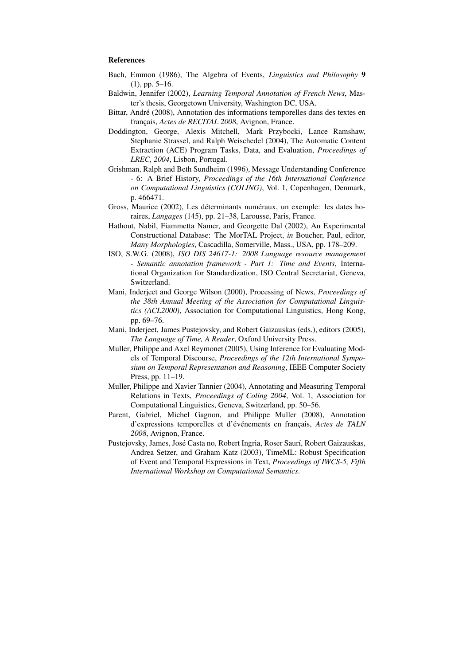#### References

- Bach, Emmon (1986), The Algebra of Events, *Linguistics and Philosophy* 9 (1), pp. 5–16.
- Baldwin, Jennifer (2002), *Learning Temporal Annotation of French News*, Master's thesis, Georgetown University, Washington DC, USA.
- Bittar, André (2008), Annotation des informations temporelles dans des textes en français, *Actes de RECITAL 2008*, Avignon, France.
- Doddington, George, Alexis Mitchell, Mark Przybocki, Lance Ramshaw, Stephanie Strassel, and Ralph Weischedel (2004), The Automatic Content Extraction (ACE) Program Tasks, Data, and Evaluation, *Proceedings of LREC, 2004*, Lisbon, Portugal.
- Grishman, Ralph and Beth Sundheim (1996), Message Understanding Conference - 6: A Brief History, *Proceedings of the 16th International Conference on Computational Linguistics (COLING)*, Vol. 1, Copenhagen, Denmark, p. 466471.
- Gross, Maurice (2002), Les déterminants numéraux, un exemple: les dates horaires, *Langages* (145), pp. 21–38, Larousse, Paris, France.
- Hathout, Nabil, Fiammetta Namer, and Georgette Dal (2002), An Experimental Constructional Database: The MorTAL Project, *in* Boucher, Paul, editor, *Many Morphologies*, Cascadilla, Somerville, Mass., USA, pp. 178–209.
- ISO, S.W.G. (2008), *ISO DIS 24617-1: 2008 Language resource management - Semantic annotation framework - Part 1: Time and Events*, International Organization for Standardization, ISO Central Secretariat, Geneva, Switzerland.
- Mani, Inderjeet and George Wilson (2000), Processing of News, *Proceedings of the 38th Annual Meeting of the Association for Computational Linguistics (ACL2000)*, Association for Computational Linguistics, Hong Kong, pp. 69–76.
- Mani, Inderjeet, James Pustejovsky, and Robert Gaizauskas (eds.), editors (2005), *The Language of Time, A Reader*, Oxford University Press.
- Muller, Philippe and Axel Reymonet (2005), Using Inference for Evaluating Models of Temporal Discourse, *Proceedings of the 12th International Symposium on Temporal Representation and Reasoning*, IEEE Computer Society Press, pp. 11–19.
- Muller, Philippe and Xavier Tannier (2004), Annotating and Measuring Temporal Relations in Texts, *Proceedings of Coling 2004*, Vol. 1, Association for Computational Linguistics, Geneva, Switzerland, pp. 50–56.
- Parent, Gabriel, Michel Gagnon, and Philippe Muller (2008), Annotation d'expressions temporelles et d'événements en français, Actes de TALN *2008*, Avignon, France.
- Pustejovsky, James, José Casta no, Robert Ingria, Roser Saurí, Robert Gaizauskas, Andrea Setzer, and Graham Katz (2003), TimeML: Robust Specification of Event and Temporal Expressions in Text, *Proceedings of IWCS-5, Fifth International Workshop on Computational Semantics*.